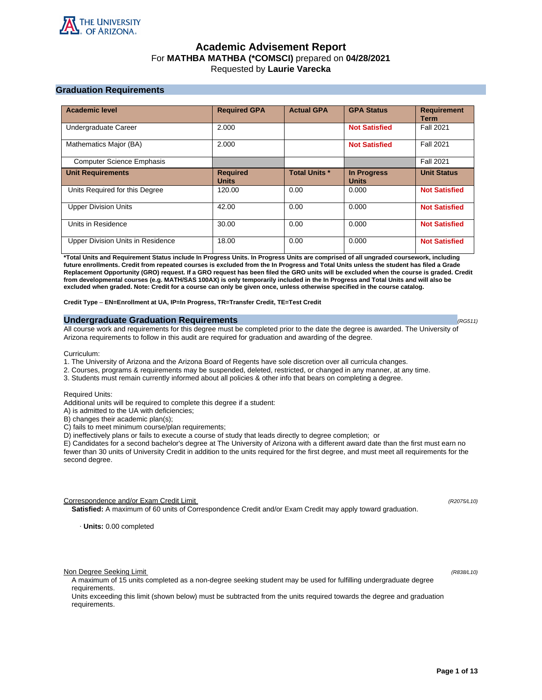

# **Academic Advisement Report** For **MATHBA MATHBA (\*COMSCI)** prepared on **04/28/2021** Requested by **Laurie Varecka**

# **Graduation Requirements**

| <b>Academic level</b>             | <b>Required GPA</b>             | <b>Actual GPA</b>    | <b>GPA Status</b>                  | <b>Requirement</b><br><b>Term</b> |
|-----------------------------------|---------------------------------|----------------------|------------------------------------|-----------------------------------|
| Undergraduate Career              | 2.000                           |                      | <b>Not Satisfied</b>               | <b>Fall 2021</b>                  |
| Mathematics Major (BA)            | 2.000                           |                      | <b>Not Satisfied</b>               | <b>Fall 2021</b>                  |
| <b>Computer Science Emphasis</b>  |                                 |                      |                                    | <b>Fall 2021</b>                  |
| <b>Unit Requirements</b>          | <b>Required</b><br><b>Units</b> | <b>Total Units *</b> | <b>In Progress</b><br><b>Units</b> | <b>Unit Status</b>                |
| Units Required for this Degree    | 120.00                          | 0.00                 | 0.000                              | <b>Not Satisfied</b>              |
| <b>Upper Division Units</b>       | 42.00                           | 0.00                 | 0.000                              | <b>Not Satisfied</b>              |
| Units in Residence                | 30.00                           | 0.00                 | 0.000                              | <b>Not Satisfied</b>              |
| Upper Division Units in Residence | 18.00                           | 0.00                 | 0.000                              | <b>Not Satisfied</b>              |

**\*Total Units and Requirement Status include In Progress Units. In Progress Units are comprised of all ungraded coursework, including future enrollments. Credit from repeated courses is excluded from the In Progress and Total Units unless the student has filed a Grade Replacement Opportunity (GRO) request. If a GRO request has been filed the GRO units will be excluded when the course is graded. Credit from developmental courses (e.g. MATH/SAS 100AX) is only temporarily included in the In Progress and Total Units and will also be excluded when graded. Note: Credit for a course can only be given once, unless otherwise specified in the course catalog.**

**Credit Type** – **EN=Enrollment at UA, IP=In Progress, TR=Transfer Credit, TE=Test Credit**

### **Undergraduate Graduation Requirements (RG511) (RG511) (RG511) (RG511)**

All course work and requirements for this degree must be completed prior to the date the degree is awarded. The University of Arizona requirements to follow in this audit are required for graduation and awarding of the degree.

Curriculum:

- 1. The University of Arizona and the Arizona Board of Regents have sole discretion over all curricula changes.
- 2. Courses, programs & requirements may be suspended, deleted, restricted, or changed in any manner, at any time.
- 3. Students must remain currently informed about all policies & other info that bears on completing a degree.

Required Units:

Additional units will be required to complete this degree if a student:

A) is admitted to the UA with deficiencies;

B) changes their academic plan(s);

C) fails to meet minimum course/plan requirements;

D) ineffectively plans or fails to execute a course of study that leads directly to degree completion; or

E) Candidates for a second bachelor's degree at The University of Arizona with a different award date than the first must earn no fewer than 30 units of University Credit in addition to the units required for the first degree, and must meet all requirements for the second degree.

Correspondence and/or Exam Credit Limit (R2075/L10) (R2075/L10)

**Satisfied:** A maximum of 60 units of Correspondence Credit and/or Exam Credit may apply toward graduation.

· **Units:** 0.00 completed

Non Degree Seeking Limit (R838/L10)

A maximum of 15 units completed as a non-degree seeking student may be used for fulfilling undergraduate degree requirements.

Units exceeding this limit (shown below) must be subtracted from the units required towards the degree and graduation requirements.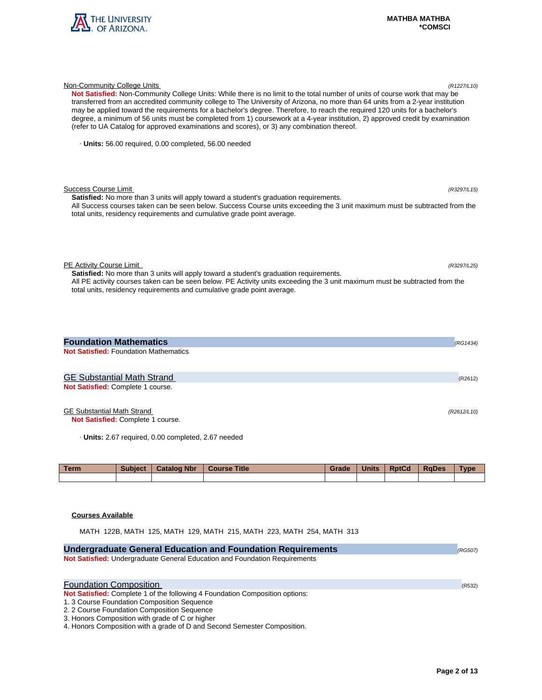

| Not Satisfied: Non-Community College Units: While there is no limit to the total number of units of course work that may be<br>transferred from an accredited community college to The University of Arizona, no more than 64 units from a 2-year institution<br>may be applied toward the requirements for a bachelor's degree. Therefore, to reach the required 120 units for a bachelor's<br>degree, a minimum of 56 units must be completed from 1) coursework at a 4-year institution, 2) approved credit by examination<br>(refer to UA Catalog for approved examinations and scores), or 3) any combination thereof. |          |
|-----------------------------------------------------------------------------------------------------------------------------------------------------------------------------------------------------------------------------------------------------------------------------------------------------------------------------------------------------------------------------------------------------------------------------------------------------------------------------------------------------------------------------------------------------------------------------------------------------------------------------|----------|
| · Units: 56.00 required, 0.00 completed, 56.00 needed                                                                                                                                                                                                                                                                                                                                                                                                                                                                                                                                                                       |          |
|                                                                                                                                                                                                                                                                                                                                                                                                                                                                                                                                                                                                                             |          |
| <b>Success Course Limit</b><br>(R3297/L15)<br><b>Satisfied:</b> No more than 3 units will apply toward a student's graduation requirements.                                                                                                                                                                                                                                                                                                                                                                                                                                                                                 |          |
| All Success courses taken can be seen below. Success Course units exceeding the 3 unit maximum must be subtracted from the<br>total units, residency requirements and cumulative grade point average.                                                                                                                                                                                                                                                                                                                                                                                                                       |          |
| PE Activity Course Limit<br>(R3297/L25)                                                                                                                                                                                                                                                                                                                                                                                                                                                                                                                                                                                     |          |
| Satisfied: No more than 3 units will apply toward a student's graduation requirements.<br>All PE activity courses taken can be seen below. PE Activity units exceeding the 3 unit maximum must be subtracted from the<br>total units, residency requirements and cumulative grade point average.                                                                                                                                                                                                                                                                                                                            |          |
|                                                                                                                                                                                                                                                                                                                                                                                                                                                                                                                                                                                                                             |          |
| <b>Foundation Mathematics</b>                                                                                                                                                                                                                                                                                                                                                                                                                                                                                                                                                                                               | (RG1434) |
| <b>Not Satisfied: Foundation Mathematics</b>                                                                                                                                                                                                                                                                                                                                                                                                                                                                                                                                                                                |          |
| <b>GE Substantial Math Strand</b>                                                                                                                                                                                                                                                                                                                                                                                                                                                                                                                                                                                           | (R2612)  |
| Not Satisfied: Complete 1 course.                                                                                                                                                                                                                                                                                                                                                                                                                                                                                                                                                                                           |          |

Non-Community College Units (R1227/L10)

# GE Substantial Math Strand (R2612/L10)

**Not Satisfied:** Complete 1 course.

· **Units:** 2.67 required, 0.00 completed, 2.67 needed

| <b>Term</b> | <b>Subject</b> | <b>Catalog Nbr</b> | <b>Course Title</b> | Grade | <b>Units</b> | <b>RptCd</b> | <b>RaDes</b> | <b>Type</b> |
|-------------|----------------|--------------------|---------------------|-------|--------------|--------------|--------------|-------------|
|             |                |                    |                     |       |              |              |              |             |

# **Courses Available**

MATH 122B, MATH 125, MATH 129, MATH 215, MATH 223, MATH 254, MATH 313

| <b>Undergraduate General Education and Foundation Requirements</b>                                                          | (RG507) |
|-----------------------------------------------------------------------------------------------------------------------------|---------|
| Not Satisfied: Undergraduate General Education and Foundation Requirements                                                  |         |
| <b>Foundation Composition</b>                                                                                               | (R532)  |
| <b>Not Satisfied:</b> Complete 1 of the following 4 Foundation Composition options:                                         |         |
| 1. 3 Course Foundation Composition Sequence<br>2. 2 Course Foundation Composition Sequence                                  |         |
| 3. Honors Composition with grade of C or higher<br>4. Honors Composition with a grade of D and Second Semester Composition. |         |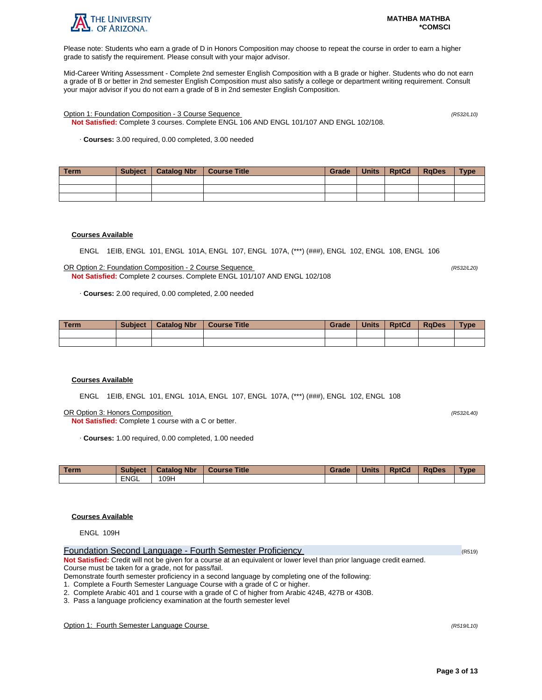

Please note: Students who earn a grade of D in Honors Composition may choose to repeat the course in order to earn a higher grade to satisfy the requirement. Please consult with your major advisor.

Mid-Career Writing Assessment - Complete 2nd semester English Composition with a B grade or higher. Students who do not earn a grade of B or better in 2nd semester English Composition must also satisfy a college or department writing requirement. Consult your major advisor if you do not earn a grade of B in 2nd semester English Composition.

Option 1: Foundation Composition - 3 Course Sequence (R532/L10)

**Not Satisfied:** Complete 3 courses. Complete ENGL 106 AND ENGL 101/107 AND ENGL 102/108.

· **Courses:** 3.00 required, 0.00 completed, 3.00 needed

| Term | Subject | Catalog Nbr   Course Title | Grade | <b>Units</b> | RptCd | RaDes | <b>Type</b> |
|------|---------|----------------------------|-------|--------------|-------|-------|-------------|
|      |         |                            |       |              |       |       |             |
|      |         |                            |       |              |       |       |             |
|      |         |                            |       |              |       |       |             |

### **Courses Available**

ENGL 1EIB, ENGL 101, ENGL 101A, ENGL 107, ENGL 107A, (\*\*\*) (###), ENGL 102, ENGL 108, ENGL 106

OR Option 2: Foundation Composition - 2 Course Sequence (R532/L20) **Not Satisfied:** Complete 2 courses. Complete ENGL 101/107 AND ENGL 102/108

· **Courses:** 2.00 required, 0.00 completed, 2.00 needed

| <b>Term</b> | <b>Subject</b> | <b>Catalog Nbr</b> | <b>Course Title</b> | Grade | <b>Units</b> | <b>RptCd</b> | <b>RaDes</b> | $T$ <sub>V</sub> $pe$ |
|-------------|----------------|--------------------|---------------------|-------|--------------|--------------|--------------|-----------------------|
|             |                |                    |                     |       |              |              |              |                       |
|             |                |                    |                     |       |              |              |              |                       |

# **Courses Available**

ENGL 1EIB, ENGL 101, ENGL 101A, ENGL 107, ENGL 107A, (\*\*\*) (###), ENGL 102, ENGL 108

OR Option 3: Honors Composition (R532/L40)

**Not Satisfied:** Complete 1 course with a C or better.

· **Courses:** 1.00 required, 0.00 completed, 1.00 needed

| <b>Term</b> | <b>Subject</b> | <b>Catalog Nbr</b> | <b>Title</b><br>Course | Grade | <b>Units</b> | <b>RptCd</b> | <b>RaDes</b> | Type |
|-------------|----------------|--------------------|------------------------|-------|--------------|--------------|--------------|------|
|             | <b>ENGL</b>    | 109H               |                        |       |              |              |              |      |

# **Courses Available**

ENGL 109H

| Foundation Second Language - Fourth Semester Proficiency                                                                | (R519) |
|-------------------------------------------------------------------------------------------------------------------------|--------|
| Not Satisfied: Credit will not be given for a course at an equivalent or lower level than prior language credit earned. |        |
| Course must be taken for a grade, not for pass/fail.                                                                    |        |
| Demonstrate fourth semester proficiency in a second language by completing one of the following:                        |        |
|                                                                                                                         |        |

1. Complete a Fourth Semester Language Course with a grade of C or higher.

2. Complete Arabic 401 and 1 course with a grade of C of higher from Arabic 424B, 427B or 430B.

3. Pass a language proficiency examination at the fourth semester level

Option 1: Fourth Semester Language Course (R519/L10)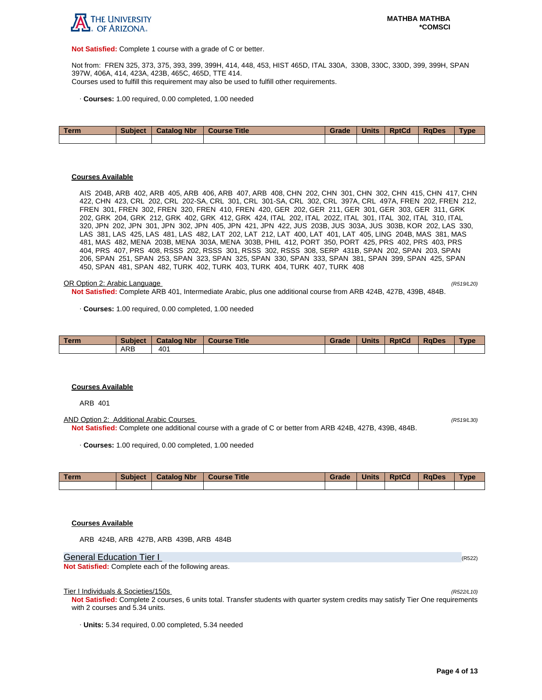

**Not Satisfied:** Complete 1 course with a grade of C or better.

Not from: FREN 325, 373, 375, 393, 399, 399H, 414, 448, 453, HIST 465D, ITAL 330A, 330B, 330C, 330D, 399, 399H, SPAN 397W, 406A, 414, 423A, 423B, 465C, 465D, TTE 414. Courses used to fulfill this requirement may also be used to fulfill other requirements.

· **Courses:** 1.00 required, 0.00 completed, 1.00 needed

| Term | <b>Subject</b> | <b>Catalog Nbr</b> | Course Title | Grade | <b>Units</b> | <b>RptCd</b> | <b>RaDes</b> | <b>Type</b> |
|------|----------------|--------------------|--------------|-------|--------------|--------------|--------------|-------------|
|      |                |                    |              |       |              |              |              |             |

### **Courses Available**

AIS 204B, ARB 402, ARB 405, ARB 406, ARB 407, ARB 408, CHN 202, CHN 301, CHN 302, CHN 415, CHN 417, CHN 422, CHN 423, CRL 202, CRL 202-SA, CRL 301, CRL 301-SA, CRL 302, CRL 397A, CRL 497A, FREN 202, FREN 212, FREN 301, FREN 302, FREN 320, FREN 410, FREN 420, GER 202, GER 211, GER 301, GER 303, GER 311, GRK 202, GRK 204, GRK 212, GRK 402, GRK 412, GRK 424, ITAL 202, ITAL 202Z, ITAL 301, ITAL 302, ITAL 310, ITAL 320, JPN 202, JPN 301, JPN 302, JPN 405, JPN 421, JPN 422, JUS 203B, JUS 303A, JUS 303B, KOR 202, LAS 330, LAS 381, LAS 425, LAS 481, LAS 482, LAT 202, LAT 212, LAT 400, LAT 401, LAT 405, LING 204B, MAS 381, MAS 481, MAS 482, MENA 203B, MENA 303A, MENA 303B, PHIL 412, PORT 350, PORT 425, PRS 402, PRS 403, PRS 404, PRS 407, PRS 408, RSSS 202, RSSS 301, RSSS 302, RSSS 308, SERP 431B, SPAN 202, SPAN 203, SPAN 206, SPAN 251, SPAN 253, SPAN 323, SPAN 325, SPAN 330, SPAN 333, SPAN 381, SPAN 399, SPAN 425, SPAN 450, SPAN 481, SPAN 482, TURK 402, TURK 403, TURK 404, TURK 407, TURK 408

#### OR Option 2: Arabic Language (R519/L20)

**Not Satisfied:** Complete ARB 401, Intermediate Arabic, plus one additional course from ARB 424B, 427B, 439B, 484B.

· **Courses:** 1.00 required, 0.00 completed, 1.00 needed

| Term | <b>Subject</b> | <b>Catalog Nbr</b> | <b>Course Title</b> | Grade | <b>Units</b> | <b>RptCd</b> | <b>RaDes</b> | <b>Type</b> |
|------|----------------|--------------------|---------------------|-------|--------------|--------------|--------------|-------------|
|      | ARB            | 40 <sup>1</sup>    |                     |       |              |              |              |             |

#### **Courses Available**

ARB 401

AND Option 2: Additional Arabic Courses (R519/L30) **Not Satisfied:** Complete one additional course with a grade of C or better from ARB 424B, 427B, 439B, 484B.

· **Courses:** 1.00 required, 0.00 completed, 1.00 needed

| Term | <b>Subject</b> | <b>Catalog Nbr</b> | Course Title | Grade | <b>Units</b> | <b>RptCd</b> | <b>RaDes</b> | Type |
|------|----------------|--------------------|--------------|-------|--------------|--------------|--------------|------|
|      |                |                    |              |       |              |              |              |      |

# **Courses Available**

ARB 424B, ARB 427B, ARB 439B, ARB 484B

General Education Tier I (R522) (R522)

**Not Satisfied:** Complete each of the following areas.

Tier I Individuals & Societies/150s

**Not Satisfied:** Complete 2 courses, 6 units total. Transfer students with quarter system credits may satisfy Tier One requirements with 2 courses and 5.34 units.

· **Units:** 5.34 required, 0.00 completed, 5.34 needed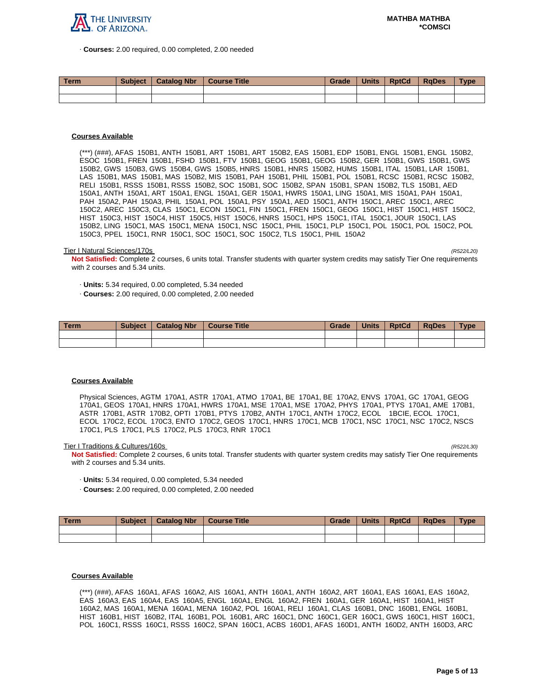

· **Courses:** 2.00 required, 0.00 completed, 2.00 needed

| <b>Term</b> | <b>Subject</b> | <b>Catalog Nbr</b> | <b>Course Title</b> | Grade | <b>Units</b> | <b>RptCd</b> | <b>RaDes</b> | Type |
|-------------|----------------|--------------------|---------------------|-------|--------------|--------------|--------------|------|
|             |                |                    |                     |       |              |              |              |      |
|             |                |                    |                     |       |              |              |              |      |

# **Courses Available**

(\*\*\*) (###), AFAS 150B1, ANTH 150B1, ART 150B1, ART 150B2, EAS 150B1, EDP 150B1, ENGL 150B1, ENGL 150B2, ESOC 150B1, FREN 150B1, FSHD 150B1, FTV 150B1, GEOG 150B1, GEOG 150B2, GER 150B1, GWS 150B1, GWS 150B2, GWS 150B3, GWS 150B4, GWS 150B5, HNRS 150B1, HNRS 150B2, HUMS 150B1, ITAL 150B1, LAR 150B1, LAS 150B1, MAS 150B1, MAS 150B2, MIS 150B1, PAH 150B1, PHIL 150B1, POL 150B1, RCSC 150B1, RCSC 150B2, RELI 150B1, RSSS 150B1, RSSS 150B2, SOC 150B1, SOC 150B2, SPAN 150B1, SPAN 150B2, TLS 150B1, AED 150A1, ANTH 150A1, ART 150A1, ENGL 150A1, GER 150A1, HWRS 150A1, LING 150A1, MIS 150A1, PAH 150A1, PAH 150A2, PAH 150A3, PHIL 150A1, POL 150A1, PSY 150A1, AED 150C1, ANTH 150C1, AREC 150C1, AREC 150C2, AREC 150C3, CLAS 150C1, ECON 150C1, FIN 150C1, FREN 150C1, GEOG 150C1, HIST 150C1, HIST 150C2, HIST 150C3, HIST 150C4, HIST 150C5, HIST 150C6, HNRS 150C1, HPS 150C1, ITAL 150C1, JOUR 150C1, LAS 150B2, LING 150C1, MAS 150C1, MENA 150C1, NSC 150C1, PHIL 150C1, PLP 150C1, POL 150C1, POL 150C2, POL 150C3, PPEL 150C1, RNR 150C1, SOC 150C1, SOC 150C2, TLS 150C1, PHIL 150A2

#### Tier I Natural Sciences/170s (R522/L20)

**Not Satisfied:** Complete 2 courses, 6 units total. Transfer students with quarter system credits may satisfy Tier One requirements with 2 courses and 5.34 units.

· **Units:** 5.34 required, 0.00 completed, 5.34 needed

· **Courses:** 2.00 required, 0.00 completed, 2.00 needed

| Term | <b>Subject</b> | <b>Catalog Nbr</b> | <b>Course Title</b> | Grade | <b>Units</b> | <b>RptCd</b> | <b>RaDes</b> | <b>Type</b> |
|------|----------------|--------------------|---------------------|-------|--------------|--------------|--------------|-------------|
|      |                |                    |                     |       |              |              |              |             |
|      |                |                    |                     |       |              |              |              |             |

### **Courses Available**

Physical Sciences, AGTM 170A1, ASTR 170A1, ATMO 170A1, BE 170A1, BE 170A2, ENVS 170A1, GC 170A1, GEOG 170A1, GEOS 170A1, HNRS 170A1, HWRS 170A1, MSE 170A1, MSE 170A2, PHYS 170A1, PTYS 170A1, AME 170B1, ASTR 170B1, ASTR 170B2, OPTI 170B1, PTYS 170B2, ANTH 170C1, ANTH 170C2, ECOL 1BCIE, ECOL 170C1, ECOL 170C2, ECOL 170C3, ENTO 170C2, GEOS 170C1, HNRS 170C1, MCB 170C1, NSC 170C1, NSC 170C2, NSCS 170C1, PLS 170C1, PLS 170C2, PLS 170C3, RNR 170C1

Tier I Traditions & Cultures/160s

**Not Satisfied:** Complete 2 courses, 6 units total. Transfer students with quarter system credits may satisfy Tier One requirements with 2 courses and 5.34 units.

- · **Units:** 5.34 required, 0.00 completed, 5.34 needed
- · **Courses:** 2.00 required, 0.00 completed, 2.00 needed

| <b>Term</b> | <b>Subject</b> | <b>Catalog Nbr</b> | Course Title | <b>Grade</b> | <b>Units</b> | <b>RptCd</b> | RaDes | <b>Type</b> |
|-------------|----------------|--------------------|--------------|--------------|--------------|--------------|-------|-------------|
|             |                |                    |              |              |              |              |       |             |
|             |                |                    |              |              |              |              |       |             |

### **Courses Available**

(\*\*\*) (###), AFAS 160A1, AFAS 160A2, AIS 160A1, ANTH 160A1, ANTH 160A2, ART 160A1, EAS 160A1, EAS 160A2, EAS 160A3, EAS 160A4, EAS 160A5, ENGL 160A1, ENGL 160A2, FREN 160A1, GER 160A1, HIST 160A1, HIST 160A2, MAS 160A1, MENA 160A1, MENA 160A2, POL 160A1, RELI 160A1, CLAS 160B1, DNC 160B1, ENGL 160B1, HIST 160B1, HIST 160B2, ITAL 160B1, POL 160B1, ARC 160C1, DNC 160C1, GER 160C1, GWS 160C1, HIST 160C1, POL 160C1, RSSS 160C1, RSSS 160C2, SPAN 160C1, ACBS 160D1, AFAS 160D1, ANTH 160D2, ANTH 160D3, ARC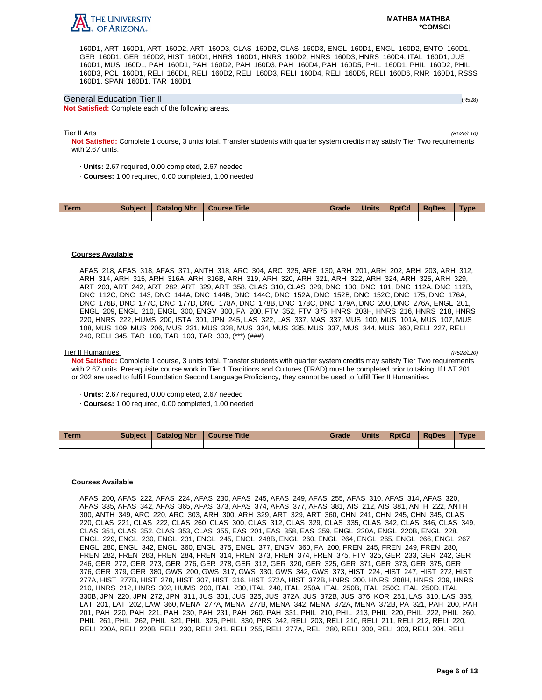

160D1, ART 160D1, ART 160D2, ART 160D3, CLAS 160D2, CLAS 160D3, ENGL 160D1, ENGL 160D2, ENTO 160D1, GER 160D1, GER 160D2, HIST 160D1, HNRS 160D1, HNRS 160D2, HNRS 160D3, HNRS 160D4, ITAL 160D1, JUS 160D1, MUS 160D1, PAH 160D1, PAH 160D2, PAH 160D3, PAH 160D4, PAH 160D5, PHIL 160D1, PHIL 160D2, PHIL 160D3, POL 160D1, RELI 160D1, RELI 160D2, RELI 160D3, RELI 160D4, RELI 160D5, RELI 160D6, RNR 160D1, RSSS 160D1, SPAN 160D1, TAR 160D1

### General Education Tier II (R528)

**Not Satisfied:** Complete each of the following areas.

### Tier II Arts (R528/L10)

**Not Satisfied:** Complete 1 course, 3 units total. Transfer students with quarter system credits may satisfy Tier Two requirements with 2.67 units.

- · **Units:** 2.67 required, 0.00 completed, 2.67 needed
- · **Courses:** 1.00 required, 0.00 completed, 1.00 needed

| Term | <b>Subject</b> | <b>Catalog Nbr</b> | <b>Course Title</b> | Grade | <b>Units</b> | <b>RptCd</b> | <b>RaDes</b> | Type |
|------|----------------|--------------------|---------------------|-------|--------------|--------------|--------------|------|
|      |                |                    |                     |       |              |              |              |      |

### **Courses Available**

AFAS 218, AFAS 318, AFAS 371, ANTH 318, ARC 304, ARC 325, ARE 130, ARH 201, ARH 202, ARH 203, ARH 312, ARH 314, ARH 315, ARH 316A, ARH 316B, ARH 319, ARH 320, ARH 321, ARH 322, ARH 324, ARH 325, ARH 329, ART 203, ART 242, ART 282, ART 329, ART 358, CLAS 310, CLAS 329, DNC 100, DNC 101, DNC 112A, DNC 112B, DNC 112C, DNC 143, DNC 144A, DNC 144B, DNC 144C, DNC 152A, DNC 152B, DNC 152C, DNC 175, DNC 176A, DNC 176B, DNC 177C, DNC 177D, DNC 178A, DNC 178B, DNC 178C, DNC 179A, DNC 200, DNC 276A, ENGL 201, ENGL 209, ENGL 210, ENGL 300, ENGV 300, FA 200, FTV 352, FTV 375, HNRS 203H, HNRS 216, HNRS 218, HNRS 220, HNRS 222, HUMS 200, ISTA 301, JPN 245, LAS 322, LAS 337, MAS 337, MUS 100, MUS 101A, MUS 107, MUS 108, MUS 109, MUS 206, MUS 231, MUS 328, MUS 334, MUS 335, MUS 337, MUS 344, MUS 360, RELI 227, RELI 240, RELI 345, TAR 100, TAR 103, TAR 303, (\*\*\*) (###)

### Tier II Humanities (R528/L20)

**Not Satisfied:** Complete 1 course, 3 units total. Transfer students with quarter system credits may satisfy Tier Two requirements with 2.67 units. Prerequisite course work in Tier 1 Traditions and Cultures (TRAD) must be completed prior to taking. If LAT 201 or 202 are used to fulfill Foundation Second Language Proficiency, they cannot be used to fulfill Tier II Humanities.

- · **Units:** 2.67 required, 0.00 completed, 2.67 needed
- · **Courses:** 1.00 required, 0.00 completed, 1.00 needed

| <b>Term</b> | <b>Subject</b> | <b>Catalog Nbr</b> | <b>Course Title</b> | Grade | <b>Units</b> | <b>RptCd</b> | <b>RaDes</b> | Type |
|-------------|----------------|--------------------|---------------------|-------|--------------|--------------|--------------|------|
|             |                |                    |                     |       |              |              |              |      |

### **Courses Available**

AFAS 200, AFAS 222, AFAS 224, AFAS 230, AFAS 245, AFAS 249, AFAS 255, AFAS 310, AFAS 314, AFAS 320, AFAS 335, AFAS 342, AFAS 365, AFAS 373, AFAS 374, AFAS 377, AFAS 381, AIS 212, AIS 381, ANTH 222, ANTH 300, ANTH 349, ARC 220, ARC 303, ARH 300, ARH 329, ART 329, ART 360, CHN 241, CHN 245, CHN 345, CLAS 220, CLAS 221, CLAS 222, CLAS 260, CLAS 300, CLAS 312, CLAS 329, CLAS 335, CLAS 342, CLAS 346, CLAS 349, CLAS 351, CLAS 352, CLAS 353, CLAS 355, EAS 201, EAS 358, EAS 359, ENGL 220A, ENGL 220B, ENGL 228, ENGL 229, ENGL 230, ENGL 231, ENGL 245, ENGL 248B, ENGL 260, ENGL 264, ENGL 265, ENGL 266, ENGL 267, ENGL 280, ENGL 342, ENGL 360, ENGL 375, ENGL 377, ENGV 360, FA 200, FREN 245, FREN 249, FREN 280, FREN 282, FREN 283, FREN 284, FREN 314, FREN 373, FREN 374, FREN 375, FTV 325, GER 233, GER 242, GER 246, GER 272, GER 273, GER 276, GER 278, GER 312, GER 320, GER 325, GER 371, GER 373, GER 375, GER 376, GER 379, GER 380, GWS 200, GWS 317, GWS 330, GWS 342, GWS 373, HIST 224, HIST 247, HIST 272, HIST 277A, HIST 277B, HIST 278, HIST 307, HIST 316, HIST 372A, HIST 372B, HNRS 200, HNRS 208H, HNRS 209, HNRS 210, HNRS 212, HNRS 302, HUMS 200, ITAL 230, ITAL 240, ITAL 250A, ITAL 250B, ITAL 250C, ITAL 250D, ITAL 330B, JPN 220, JPN 272, JPN 311, JUS 301, JUS 325, JUS 372A, JUS 372B, JUS 376, KOR 251, LAS 310, LAS 335, LAT 201, LAT 202, LAW 360, MENA 277A, MENA 277B, MENA 342, MENA 372A, MENA 372B, PA 321, PAH 200, PAH 201, PAH 220, PAH 221, PAH 230, PAH 231, PAH 260, PAH 331, PHIL 210, PHIL 213, PHIL 220, PHIL 222, PHIL 260, PHIL 261, PHIL 262, PHIL 321, PHIL 325, PHIL 330, PRS 342, RELI 203, RELI 210, RELI 211, RELI 212, RELI 220, RELI 220A, RELI 220B, RELI 230, RELI 241, RELI 255, RELI 277A, RELI 280, RELI 300, RELI 303, RELI 304, RELI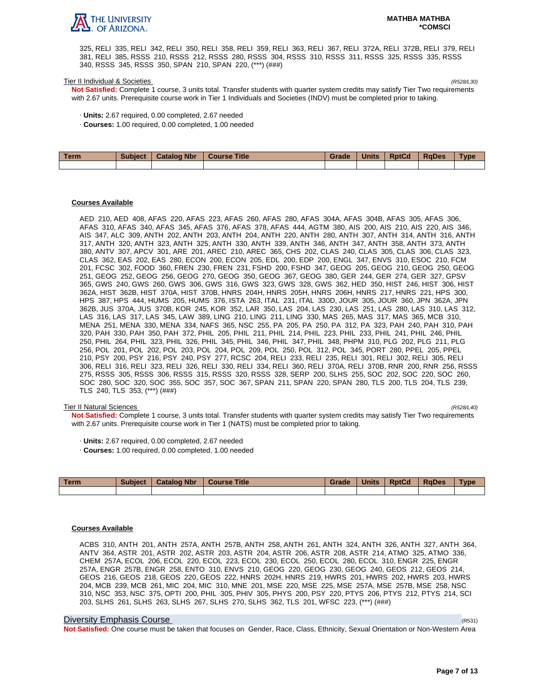

325, RELI 335, RELI 342, RELI 350, RELI 358, RELI 359, RELI 363, RELI 367, RELI 372A, RELI 372B, RELI 379, RELI 381, RELI 385, RSSS 210, RSSS 212, RSSS 280, RSSS 304, RSSS 310, RSSS 311, RSSS 325, RSSS 335, RSSS 340, RSSS 345, RSSS 350, SPAN 210, SPAN 220, (\*\*\*) (###)

### Tier II Individual & Societies (R528/L30)

**Not Satisfied:** Complete 1 course, 3 units total. Transfer students with quarter system credits may satisfy Tier Two requirements with 2.67 units. Prerequisite course work in Tier 1 Individuals and Societies (INDV) must be completed prior to taking.

- · **Units:** 2.67 required, 0.00 completed, 2.67 needed
- · **Courses:** 1.00 required, 0.00 completed, 1.00 needed

| Term | Subject   Catalog Nbr | Course Title | Grade | <b>Units</b> | <b>RptCd</b> | <b>RaDes</b> | <b>Type</b> |
|------|-----------------------|--------------|-------|--------------|--------------|--------------|-------------|
|      |                       |              |       |              |              |              |             |

### **Courses Available**

AED 210, AED 408, AFAS 220, AFAS 223, AFAS 260, AFAS 280, AFAS 304A, AFAS 304B, AFAS 305, AFAS 306, AFAS 310, AFAS 340, AFAS 345, AFAS 376, AFAS 378, AFAS 444, AGTM 380, AIS 200, AIS 210, AIS 220, AIS 346, AIS 347, ALC 309, ANTH 202, ANTH 203, ANTH 204, ANTH 220, ANTH 280, ANTH 307, ANTH 314, ANTH 316, ANTH 317, ANTH 320, ANTH 323, ANTH 325, ANTH 330, ANTH 339, ANTH 346, ANTH 347, ANTH 358, ANTH 373, ANTH 380, ANTV 307, APCV 301, ARE 201, AREC 210, AREC 365, CHS 202, CLAS 240, CLAS 305, CLAS 306, CLAS 323, CLAS 362, EAS 202, EAS 280, ECON 200, ECON 205, EDL 200, EDP 200, ENGL 347, ENVS 310, ESOC 210, FCM 201, FCSC 302, FOOD 360, FREN 230, FREN 231, FSHD 200, FSHD 347, GEOG 205, GEOG 210, GEOG 250, GEOG 251, GEOG 252, GEOG 256, GEOG 270, GEOG 350, GEOG 367, GEOG 380, GER 244, GER 274, GER 327, GPSV 365, GWS 240, GWS 260, GWS 306, GWS 316, GWS 323, GWS 328, GWS 362, HED 350, HIST 246, HIST 306, HIST 362A, HIST 362B, HIST 370A, HIST 370B, HNRS 204H, HNRS 205H, HNRS 206H, HNRS 217, HNRS 221, HPS 300, HPS 387, HPS 444, HUMS 205, HUMS 376, ISTA 263, ITAL 231, ITAL 330D, JOUR 305, JOUR 360, JPN 362A, JPN 362B, JUS 370A, JUS 370B, KOR 245, KOR 352, LAR 350, LAS 204, LAS 230, LAS 251, LAS 280, LAS 310, LAS 312, LAS 316, LAS 317, LAS 345, LAW 389, LING 210, LING 211, LING 330, MAS 265, MAS 317, MAS 365, MCB 310, MENA 251, MENA 330, MENA 334, NAFS 365, NSC 255, PA 205, PA 250, PA 312, PA 323, PAH 240, PAH 310, PAH 320, PAH 330, PAH 350, PAH 372, PHIL 205, PHIL 211, PHIL 214, PHIL 223, PHIL 233, PHIL 241, PHIL 246, PHIL 250, PHIL 264, PHIL 323, PHIL 326, PHIL 345, PHIL 346, PHIL 347, PHIL 348, PHPM 310, PLG 202, PLG 211, PLG 256, POL 201, POL 202, POL 203, POL 204, POL 209, POL 250, POL 312, POL 345, PORT 280, PPEL 205, PPEL 210, PSY 200, PSY 216, PSY 240, PSY 277, RCSC 204, RELI 233, RELI 235, RELI 301, RELI 302, RELI 305, RELI 306, RELI 316, RELI 323, RELI 326, RELI 330, RELI 334, RELI 360, RELI 370A, RELI 370B, RNR 200, RNR 256, RSSS 275, RSSS 305, RSSS 306, RSSS 315, RSSS 320, RSSS 328, SERP 200, SLHS 255, SOC 202, SOC 220, SOC 260, SOC 280, SOC 320, SOC 355, SOC 357, SOC 367, SPAN 211, SPAN 220, SPAN 280, TLS 200, TLS 204, TLS 239, TLS 240, TLS 353, (\*\*\*) (###)

### Tier II Natural Sciences (R528/L40)

**Not Satisfied:** Complete 1 course, 3 units total. Transfer students with quarter system credits may satisfy Tier Two requirements with 2.67 units. Prerequisite course work in Tier 1 (NATS) must be completed prior to taking.

- · **Units:** 2.67 required, 0.00 completed, 2.67 needed
- · **Courses:** 1.00 required, 0.00 completed, 1.00 needed

| Term | <b>Subject</b> | <b>Catalog Nbr</b> | <b>Course Title</b> | Grade | Units | <b>RptCd</b> | <b>RaDes</b> | <b>Type</b> |
|------|----------------|--------------------|---------------------|-------|-------|--------------|--------------|-------------|
|      |                |                    |                     |       |       |              |              |             |

## **Courses Available**

ACBS 310, ANTH 201, ANTH 257A, ANTH 257B, ANTH 258, ANTH 261, ANTH 324, ANTH 326, ANTH 327, ANTH 364, ANTV 364, ASTR 201, ASTR 202, ASTR 203, ASTR 204, ASTR 206, ASTR 208, ASTR 214, ATMO 325, ATMO 336, CHEM 257A, ECOL 206, ECOL 220, ECOL 223, ECOL 230, ECOL 250, ECOL 280, ECOL 310, ENGR 225, ENGR 257A, ENGR 257B, ENGR 258, ENTO 310, ENVS 210, GEOG 220, GEOG 230, GEOG 240, GEOS 212, GEOS 214, GEOS 216, GEOS 218, GEOS 220, GEOS 222, HNRS 202H, HNRS 219, HWRS 201, HWRS 202, HWRS 203, HWRS 204, MCB 239, MCB 261, MIC 204, MIC 310, MNE 201, MSE 220, MSE 225, MSE 257A, MSE 257B, MSE 258, NSC 310, NSC 353, NSC 375, OPTI 200, PHIL 305, PHIV 305, PHYS 200, PSY 220, PTYS 206, PTYS 212, PTYS 214, SCI 203, SLHS 261, SLHS 263, SLHS 267, SLHS 270, SLHS 362, TLS 201, WFSC 223, (\*\*\*) (###)

#### Diversity Emphasis Course (R531)

**Not Satisfied:** One course must be taken that focuses on Gender, Race, Class, Ethnicity, Sexual Orientation or Non-Western Area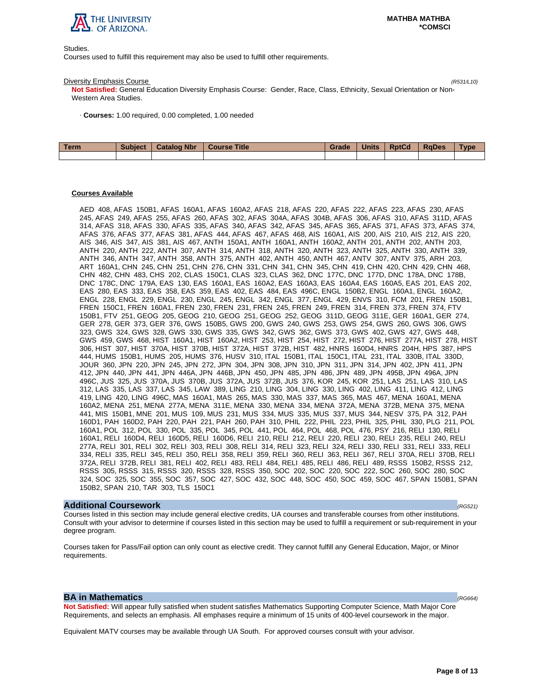

Studies.

Courses used to fulfill this requirement may also be used to fulfill other requirements.

### Diversity Emphasis Course (R531/L10)

**Not Satisfied:** General Education Diversity Emphasis Course: Gender, Race, Class, Ethnicity, Sexual Orientation or Non-Western Area Studies.

· **Courses:** 1.00 required, 0.00 completed, 1.00 needed

| <b>Term</b> | <b>Subject</b> | <b>Catalog Nbr</b> | Course Title | Grade | <b>Units</b> | <b>RptCd</b> | RaDes | <b>Type</b> |
|-------------|----------------|--------------------|--------------|-------|--------------|--------------|-------|-------------|
|             |                |                    |              |       |              |              |       |             |

# **Courses Available**

AED 408, AFAS 150B1, AFAS 160A1, AFAS 160A2, AFAS 218, AFAS 220, AFAS 222, AFAS 223, AFAS 230, AFAS 245, AFAS 249, AFAS 255, AFAS 260, AFAS 302, AFAS 304A, AFAS 304B, AFAS 306, AFAS 310, AFAS 311D, AFAS 314, AFAS 318, AFAS 330, AFAS 335, AFAS 340, AFAS 342, AFAS 345, AFAS 365, AFAS 371, AFAS 373, AFAS 374, AFAS 376, AFAS 377, AFAS 381, AFAS 444, AFAS 467, AFAS 468, AIS 160A1, AIS 200, AIS 210, AIS 212, AIS 220, AIS 346, AIS 347, AIS 381, AIS 467, ANTH 150A1, ANTH 160A1, ANTH 160A2, ANTH 201, ANTH 202, ANTH 203, ANTH 220, ANTH 222, ANTH 307, ANTH 314, ANTH 318, ANTH 320, ANTH 323, ANTH 325, ANTH 330, ANTH 339, ANTH 346, ANTH 347, ANTH 358, ANTH 375, ANTH 402, ANTH 450, ANTH 467, ANTV 307, ANTV 375, ARH 203, ART 160A1, CHN 245, CHN 251, CHN 276, CHN 331, CHN 341, CHN 345, CHN 419, CHN 420, CHN 429, CHN 468, CHN 482, CHN 483, CHS 202, CLAS 150C1, CLAS 323, CLAS 362, DNC 177C, DNC 177D, DNC 178A, DNC 178B, DNC 178C, DNC 179A, EAS 130, EAS 160A1, EAS 160A2, EAS 160A3, EAS 160A4, EAS 160A5, EAS 201, EAS 202, EAS 280, EAS 333, EAS 358, EAS 359, EAS 402, EAS 484, EAS 496C, ENGL 150B2, ENGL 160A1, ENGL 160A2, ENGL 228, ENGL 229, ENGL 230, ENGL 245, ENGL 342, ENGL 377, ENGL 429, ENVS 310, FCM 201, FREN 150B1, FREN 150C1, FREN 160A1, FREN 230, FREN 231, FREN 245, FREN 249, FREN 314, FREN 373, FREN 374, FTV 150B1, FTV 251, GEOG 205, GEOG 210, GEOG 251, GEOG 252, GEOG 311D, GEOG 311E, GER 160A1, GER 274, GER 278, GER 373, GER 376, GWS 150B5, GWS 200, GWS 240, GWS 253, GWS 254, GWS 260, GWS 306, GWS 323, GWS 324, GWS 328, GWS 330, GWS 335, GWS 342, GWS 362, GWS 373, GWS 402, GWS 427, GWS 448, GWS 459, GWS 468, HIST 160A1, HIST 160A2, HIST 253, HIST 254, HIST 272, HIST 276, HIST 277A, HIST 278, HIST 306, HIST 307, HIST 370A, HIST 370B, HIST 372A, HIST 372B, HIST 482, HNRS 160D4, HNRS 204H, HPS 387, HPS 444, HUMS 150B1, HUMS 205, HUMS 376, HUSV 310, ITAL 150B1, ITAL 150C1, ITAL 231, ITAL 330B, ITAL 330D, JOUR 360, JPN 220, JPN 245, JPN 272, JPN 304, JPN 308, JPN 310, JPN 311, JPN 314, JPN 402, JPN 411, JPN 412, JPN 440, JPN 441, JPN 446A, JPN 446B, JPN 450, JPN 485, JPN 486, JPN 489, JPN 495B, JPN 496A, JPN 496C, JUS 325, JUS 370A, JUS 370B, JUS 372A, JUS 372B, JUS 376, KOR 245, KOR 251, LAS 251, LAS 310, LAS 312, LAS 335, LAS 337, LAS 345, LAW 389, LING 210, LING 304, LING 330, LING 402, LING 411, LING 412, LING 419, LING 420, LING 496C, MAS 160A1, MAS 265, MAS 330, MAS 337, MAS 365, MAS 467, MENA 160A1, MENA 160A2, MENA 251, MENA 277A, MENA 311E, MENA 330, MENA 334, MENA 372A, MENA 372B, MENA 375, MENA 441, MIS 150B1, MNE 201, MUS 109, MUS 231, MUS 334, MUS 335, MUS 337, MUS 344, NESV 375, PA 312, PAH 160D1, PAH 160D2, PAH 220, PAH 221, PAH 260, PAH 310, PHIL 222, PHIL 223, PHIL 325, PHIL 330, PLG 211, POL 160A1, POL 312, POL 330, POL 335, POL 345, POL 441, POL 464, POL 468, POL 476, PSY 216, RELI 130, RELI 160A1, RELI 160D4, RELI 160D5, RELI 160D6, RELI 210, RELI 212, RELI 220, RELI 230, RELI 235, RELI 240, RELI 277A, RELI 301, RELI 302, RELI 303, RELI 308, RELI 314, RELI 323, RELI 324, RELI 330, RELI 331, RELI 333, RELI 334, RELI 335, RELI 345, RELI 350, RELI 358, RELI 359, RELI 360, RELI 363, RELI 367, RELI 370A, RELI 370B, RELI 372A, RELI 372B, RELI 381, RELI 402, RELI 483, RELI 484, RELI 485, RELI 486, RELI 489, RSSS 150B2, RSSS 212, RSSS 305, RSSS 315, RSSS 320, RSSS 328, RSSS 350, SOC 202, SOC 220, SOC 222, SOC 260, SOC 280, SOC 324, SOC 325, SOC 355, SOC 357, SOC 427, SOC 432, SOC 448, SOC 450, SOC 459, SOC 467, SPAN 150B1, SPAN 150B2, SPAN 210, TAR 303, TLS 150C1

### **Additional Coursework** (RG521)

Courses listed in this section may include general elective credits, UA courses and transferable courses from other institutions. Consult with your advisor to determine if courses listed in this section may be used to fulfill a requirement or sub-requirement in your degree program.

Courses taken for Pass/Fail option can only count as elective credit. They cannot fulfill any General Education, Major, or Minor requirements.

# **BA in Mathematics**  $(RG664)$

**Not Satisfied:** Will appear fully satisfied when student satisfies Mathematics Supporting Computer Science, Math Major Core Requirements, and selects an emphasis. All emphases require a minimum of 15 units of 400-level coursework in the major.

Equivalent MATV courses may be available through UA South. For approved courses consult with your advisor.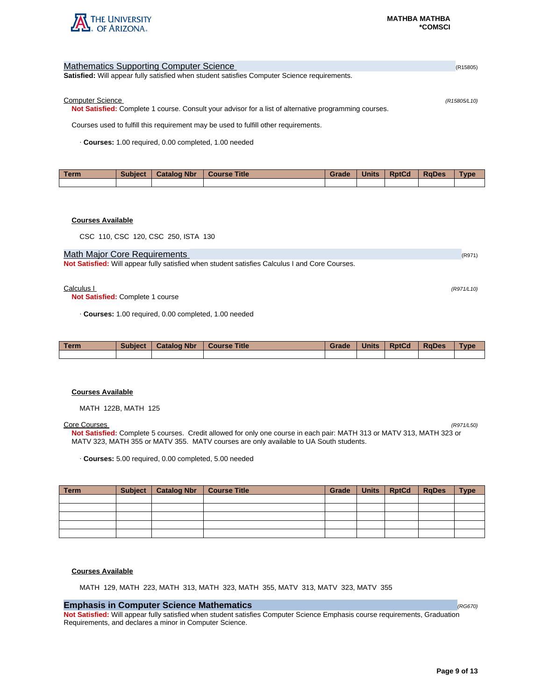

| <b>Mathematics Supporting Computer Science</b>                                                        | (R15805)     |
|-------------------------------------------------------------------------------------------------------|--------------|
| <b>Satisfied:</b> Will appear fully satisfied when student satisfies Computer Science requirements.   |              |
|                                                                                                       |              |
| <b>Computer Science</b>                                                                               | (R15805/L10) |
| Not Satisfied: Complete 1 course. Consult your advisor for a list of alternative programming courses. |              |
| Courses used to fulfill this requirement may be used to fulfill other requirements.                   |              |
| Courses: 1.00 required, 0.00 completed, 1.00 needed                                                   |              |
|                                                                                                       |              |

| Term | <b>Subject</b> | <b>Catalog Nbr</b> | <b>Course Title</b> | Grade | <b>Units</b> | <b>RptCd</b> | <b>RaDes</b> | <b>Type</b> |
|------|----------------|--------------------|---------------------|-------|--------------|--------------|--------------|-------------|
|      |                |                    |                     |       |              |              |              |             |

# **Courses Available**

CSC 110, CSC 120, CSC 250, ISTA 130

# Math Major Core Requirements (R971) 2008 12:00 12:00 12:00 12:00 12:00 12:00 12:00 12:00 12:00 12:00 12:00 12:00 12:00 12:00 12:00 12:00 12:00 12:00 12:00 12:00 12:00 12:00 12:00 12:00 12:00 12:00 12:00 12:00 12:00 12:00 1

**Not Satisfied:** Will appear fully satisfied when student satisfies Calculus I and Core Courses.

### $Calculus 1$  (R971/L10)

**Not Satisfied:** Complete 1 course

· **Courses:** 1.00 required, 0.00 completed, 1.00 needed

| <b>Term</b> | <b>Subject</b> | <b>Catalog Nbr</b> | <b>Course Title</b> | Grade | <b>Units</b> | <b>RptCd</b> | <b>RaDes</b> | <b>Type</b> |
|-------------|----------------|--------------------|---------------------|-------|--------------|--------------|--------------|-------------|
|             |                |                    |                     |       |              |              |              |             |

### **Courses Available**

MATH 122B, MATH 125

### Core Courses (R971/L50)

**Not Satisfied:** Complete 5 courses. Credit allowed for only one course in each pair: MATH 313 or MATV 313, MATH 323 or MATV 323, MATH 355 or MATV 355. MATV courses are only available to UA South students.

· **Courses:** 5.00 required, 0.00 completed, 5.00 needed

| <b>Term</b> | Subject   Catalog Nbr | <b>Course Title</b> | Grade | Units   RptCd   RqDes | <b>Type</b> |
|-------------|-----------------------|---------------------|-------|-----------------------|-------------|
|             |                       |                     |       |                       |             |
|             |                       |                     |       |                       |             |
|             |                       |                     |       |                       |             |
|             |                       |                     |       |                       |             |
|             |                       |                     |       |                       |             |

### **Courses Available**

MATH 129, MATH 223, MATH 313, MATH 323, MATH 355, MATV 313, MATV 323, MATV 355

# **Emphasis in Computer Science Mathematics**  (RG670) **CONSTRUCTER (RG670) CONSTRUCTER (RG670)**

**Not Satisfied:** Will appear fully satisfied when student satisfies Computer Science Emphasis course requirements, Graduation Requirements, and declares a minor in Computer Science.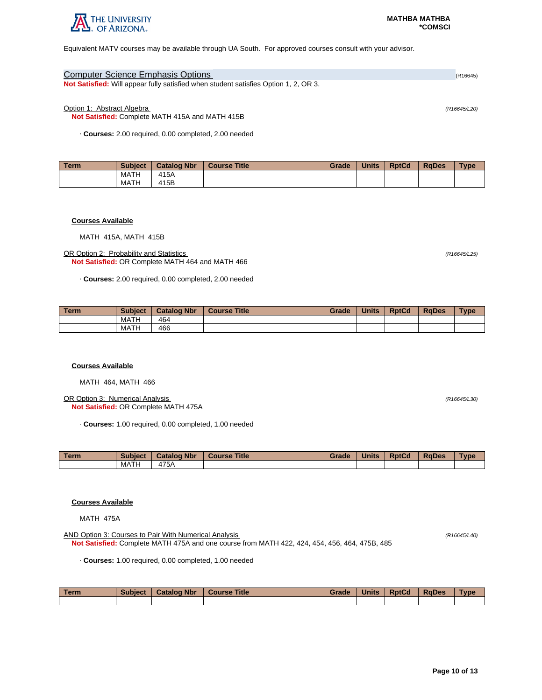

Equivalent MATV courses may be available through UA South. For approved courses consult with your advisor.

| <b>Computer Science Emphasis Options</b>                                                    | (R16645) |
|---------------------------------------------------------------------------------------------|----------|
| <b>Not Satisfied:</b> Will appear fully satisfied when student satisfies Option 1, 2, OR 3. |          |

### Option 1: Abstract Algebra (R16645/L20)

**Not Satisfied:** Complete MATH 415A and MATH 415B

· **Courses:** 2.00 required, 0.00 completed, 2.00 needed

| Term. | <b>Subject</b> | <b>Catalog Nbr</b> | <b>Course Title</b> | Grade | <b>Units</b> | <b>RptCd</b> | <b>RaDes</b> | <b>Type</b> |
|-------|----------------|--------------------|---------------------|-------|--------------|--------------|--------------|-------------|
|       | MATH           | 415A               |                     |       |              |              |              |             |
|       | MATH           | 415B               |                     |       |              |              |              |             |

### **Courses Available**

MATH 415A, MATH 415B

OR Option 2: Probability and Statistics (R16645/L25) **Not Satisfied:** OR Complete MATH 464 and MATH 466

· **Courses:** 2.00 required, 0.00 completed, 2.00 needed

| Term | <b>Subject</b> | <b>Catalog Nbr</b> | <b>Course Title</b> | <b>Grade</b> | <b>Units</b> | <b>RptCd</b> | <b>RaDes</b> | <b>Type</b> |
|------|----------------|--------------------|---------------------|--------------|--------------|--------------|--------------|-------------|
|      | <b>MATH</b>    | 464                |                     |              |              |              |              |             |
|      | MATH           | 466                |                     |              |              |              |              |             |

#### **Courses Available**

MATH 464, MATH 466

OR Option 3: Numerical Analysis (R16645/L30) **Not Satisfied:** OR Complete MATH 475A

· **Courses:** 1.00 required, 0.00 completed, 1.00 needed

| <b>Term</b> | <b>Subject</b> | <b>Catalog Nbr</b> | <b>Title</b><br><b>Course</b> | Grade | <b>Units</b> | <b>RptCd</b> | <b>RaDes</b> | <b>Type</b> |
|-------------|----------------|--------------------|-------------------------------|-------|--------------|--------------|--------------|-------------|
|             | MATH           | 475A               |                               |       |              |              |              |             |

### **Courses Available**

MATH 475A

AND Option 3: Courses to Pair With Numerical Analysis (R16645/L40) **Not Satisfied:** Complete MATH 475A and one course from MATH 422, 424, 454, 456, 464, 475B, 485

· **Courses:** 1.00 required, 0.00 completed, 1.00 needed

| Term | <b>Subject</b> | <b>Catalog Nbr</b> | <b>Course Title</b> | Grade | <b>Units</b> | <b>RptCd</b> | <b>RaDes</b> | <b>Type</b> |
|------|----------------|--------------------|---------------------|-------|--------------|--------------|--------------|-------------|
|      |                |                    |                     |       |              |              |              |             |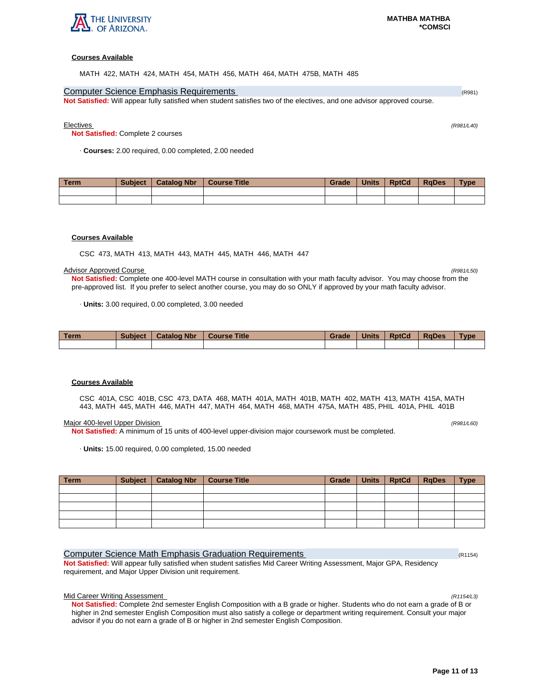

## **Courses Available**

MATH 422, MATH 424, MATH 454, MATH 456, MATH 464, MATH 475B, MATH 485

# **Computer Science Emphasis Requirements (R981) Computer Science Emphasis Requirements** (R981)

**Not Satisfied:** Will appear fully satisfied when student satisfies two of the electives, and one advisor approved course.

Electives (R981/L40)

**Not Satisfied:** Complete 2 courses

· **Courses:** 2.00 required, 0.00 completed, 2.00 needed

| Term | <b>Subject</b> | <b>Catalog Nbr</b> | <b>Course Title</b> | Grade | <b>Units</b> | <b>RptCd</b> | <b>RaDes</b> | <b>Type</b> |
|------|----------------|--------------------|---------------------|-------|--------------|--------------|--------------|-------------|
|      |                |                    |                     |       |              |              |              |             |
|      |                |                    |                     |       |              |              |              |             |

### **Courses Available**

CSC 473, MATH 413, MATH 443, MATH 445, MATH 446, MATH 447

#### Advisor Approved Course (R981/L50)

**Not Satisfied:** Complete one 400-level MATH course in consultation with your math faculty advisor. You may choose from the pre-approved list. If you prefer to select another course, you may do so ONLY if approved by your math faculty advisor.

· **Units:** 3.00 required, 0.00 completed, 3.00 needed

| <b>Term</b> | <b>Subject</b> | <b>Catalog Nbr</b> | <b>Course Title</b> | Grade | <b>Units</b> | <b>RptCd</b> | <b>RaDes</b> | <b>Type</b> |
|-------------|----------------|--------------------|---------------------|-------|--------------|--------------|--------------|-------------|
|             |                |                    |                     |       |              |              |              |             |

#### **Courses Available**

CSC 401A, CSC 401B, CSC 473, DATA 468, MATH 401A, MATH 401B, MATH 402, MATH 413, MATH 415A, MATH 443, MATH 445, MATH 446, MATH 447, MATH 464, MATH 468, MATH 475A, MATH 485, PHIL 401A, PHIL 401B

#### Major 400-level Upper Division (R981/L60) (R981/L60)

**Not Satisfied:** A minimum of 15 units of 400-level upper-division major coursework must be completed.

· **Units:** 15.00 required, 0.00 completed, 15.00 needed

| Term | Subject   Catalog Nbr   Course Title | Grade | Units   RptCd   RgDes | <b>Type</b> |
|------|--------------------------------------|-------|-----------------------|-------------|
|      |                                      |       |                       |             |
|      |                                      |       |                       |             |
|      |                                      |       |                       |             |
|      |                                      |       |                       |             |
|      |                                      |       |                       |             |

# Computer Science Math Emphasis Graduation Requirements (R1154) (R1154)

**Not Satisfied:** Will appear fully satisfied when student satisfies Mid Career Writing Assessment, Major GPA, Residency requirement, and Major Upper Division unit requirement.

## Mid Career Writing Assessment (R1154/L3)

**Not Satisfied:** Complete 2nd semester English Composition with a B grade or higher. Students who do not earn a grade of B or higher in 2nd semester English Composition must also satisfy a college or department writing requirement. Consult your major advisor if you do not earn a grade of B or higher in 2nd semester English Composition.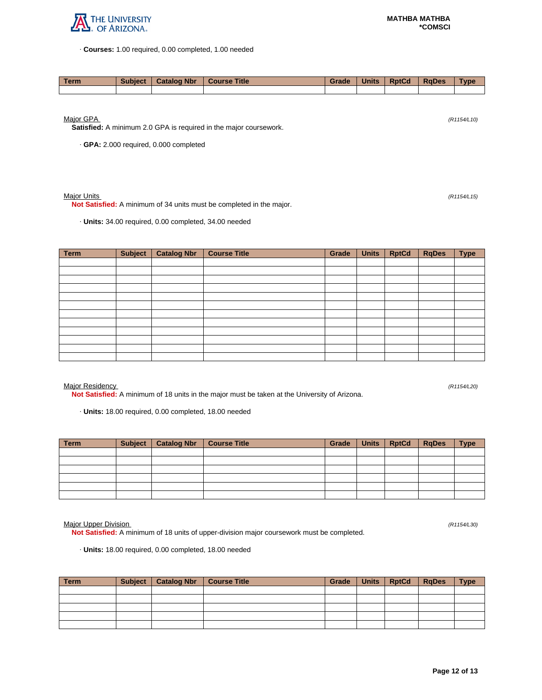

· **Courses:** 1.00 required, 0.00 completed, 1.00 needed

| Term | <b>Subject</b> | <b>Catalog Nbr</b> | Course Title | Grade | <b>Units</b> | <b>RptCd</b> | RaDes | <b>Type</b> |
|------|----------------|--------------------|--------------|-------|--------------|--------------|-------|-------------|
|      |                |                    |              |       |              |              |       |             |

Major GPA (R1154/L10)

**Satisfied:** A minimum 2.0 GPA is required in the major coursework.

· **GPA:** 2.000 required, 0.000 completed

### Major Units (R1154/L15)

**Not Satisfied:** A minimum of 34 units must be completed in the major.

· **Units:** 34.00 required, 0.00 completed, 34.00 needed

| Term | <b>Subject</b> | <b>Catalog Nbr</b> | <b>Course Title</b> | Grade | <b>Units</b> | <b>RptCd</b> | <b>RqDes</b> | <b>Type</b> |
|------|----------------|--------------------|---------------------|-------|--------------|--------------|--------------|-------------|
|      |                |                    |                     |       |              |              |              |             |
|      |                |                    |                     |       |              |              |              |             |
|      |                |                    |                     |       |              |              |              |             |
|      |                |                    |                     |       |              |              |              |             |
|      |                |                    |                     |       |              |              |              |             |
|      |                |                    |                     |       |              |              |              |             |
|      |                |                    |                     |       |              |              |              |             |
|      |                |                    |                     |       |              |              |              |             |
|      |                |                    |                     |       |              |              |              |             |
|      |                |                    |                     |       |              |              |              |             |
|      |                |                    |                     |       |              |              |              |             |
|      |                |                    |                     |       |              |              |              |             |

Major Residency (R1154/L20)

**Not Satisfied:** A minimum of 18 units in the major must be taken at the University of Arizona.

· **Units:** 18.00 required, 0.00 completed, 18.00 needed

| <b>Term</b> | Subject   Catalog Nbr   Course Title | Grade | Units   RptCd   RqDes | <b>Type</b> |
|-------------|--------------------------------------|-------|-----------------------|-------------|
|             |                                      |       |                       |             |
|             |                                      |       |                       |             |
|             |                                      |       |                       |             |
|             |                                      |       |                       |             |
|             |                                      |       |                       |             |
|             |                                      |       |                       |             |

Major Upper Division (R1154/L30)

**Not Satisfied:** A minimum of 18 units of upper-division major coursework must be completed.

· **Units:** 18.00 required, 0.00 completed, 18.00 needed

| Term | Subject   Catalog Nbr | Course Title | Grade | Units   RptCd | <b>RaDes</b> | <b>Type</b> |
|------|-----------------------|--------------|-------|---------------|--------------|-------------|
|      |                       |              |       |               |              |             |
|      |                       |              |       |               |              |             |
|      |                       |              |       |               |              |             |
|      |                       |              |       |               |              |             |
|      |                       |              |       |               |              |             |